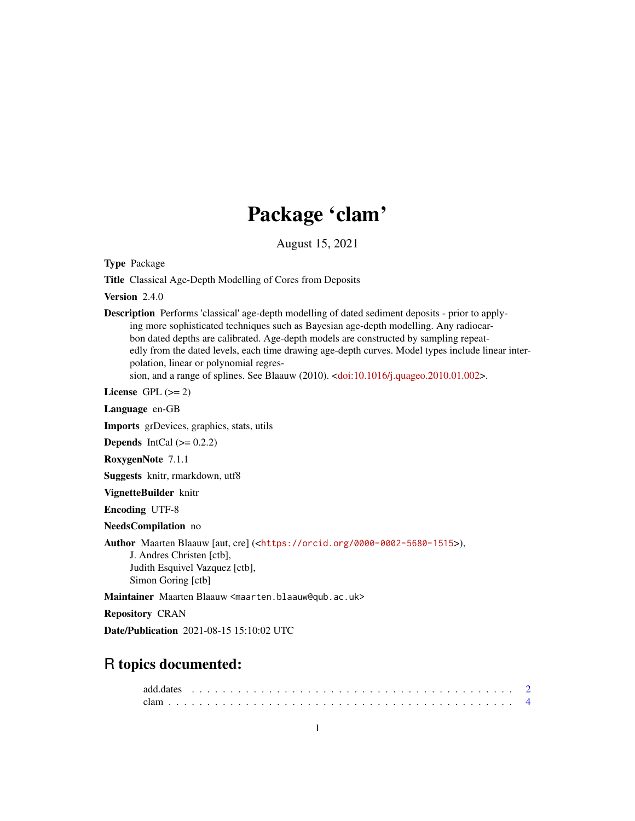## Package 'clam'

August 15, 2021

Type Package

Title Classical Age-Depth Modelling of Cores from Deposits

Version 2.4.0

Description Performs 'classical' age-depth modelling of dated sediment deposits - prior to applying more sophisticated techniques such as Bayesian age-depth modelling. Any radiocarbon dated depths are calibrated. Age-depth models are constructed by sampling repeatedly from the dated levels, each time drawing age-depth curves. Model types include linear interpolation, linear or polynomial regres-sion, and a range of splines. See Blaauw (2010). [<doi:10.1016/j.quageo.2010.01.002>](https://doi.org/10.1016/j.quageo.2010.01.002).

License GPL  $(>= 2)$ 

Language en-GB

Imports grDevices, graphics, stats, utils

**Depends** IntCal  $(>= 0.2.2)$ 

RoxygenNote 7.1.1

Suggests knitr, rmarkdown, utf8

VignetteBuilder knitr

Encoding UTF-8

NeedsCompilation no

Author Maarten Blaauw [aut, cre] (<<https://orcid.org/0000-0002-5680-1515>>),

J. Andres Christen [ctb], Judith Esquivel Vazquez [ctb], Simon Goring [ctb]

Maintainer Maarten Blaauw <maarten.blaauw@qub.ac.uk>

Repository CRAN

Date/Publication 2021-08-15 15:10:02 UTC

### R topics documented: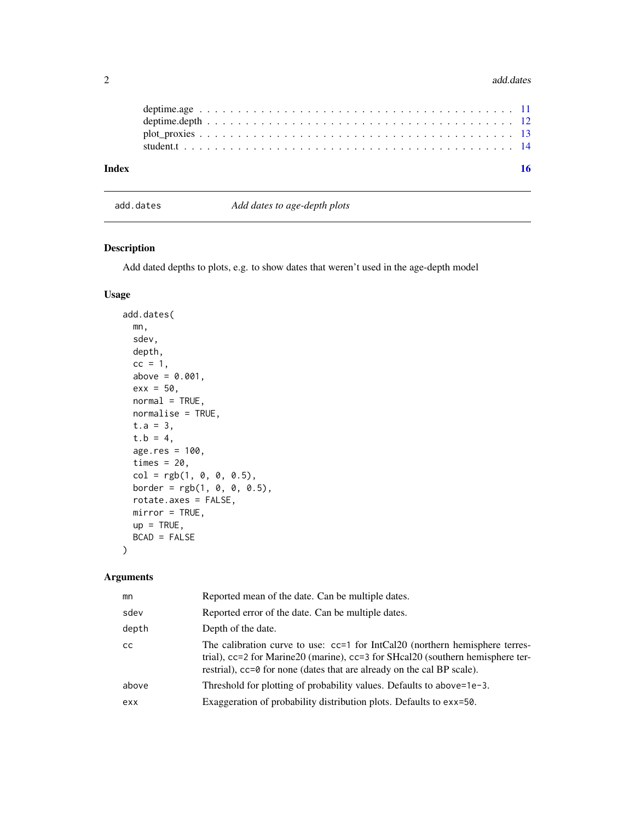<span id="page-1-0"></span>

| Index | 16 |
|-------|----|
|       |    |
|       |    |
|       |    |
|       |    |

add.dates *Add dates to age-depth plots*

#### Description

Add dated depths to plots, e.g. to show dates that weren't used in the age-depth model

#### Usage

```
add.dates(
 mn,
  sdev,
 depth,
 cc = 1,
 above = 0.001,
 exx = 50,
 normal = TRUE,normalise = TRUE,
  t.a = 3,t.b = 4,age.res = 100,
 times = 20,
 col = rgb(1, 0, 0, 0.5),border = rgb(1, 0, 0, 0.5),
 rotate.axes = FALSE,
 mirror = TRUE,
 up = TRUE,BCAD = FALSE)
```
#### Arguments

| mn            | Reported mean of the date. Can be multiple dates.                                                                                                                                                                                        |
|---------------|------------------------------------------------------------------------------------------------------------------------------------------------------------------------------------------------------------------------------------------|
| sdev          | Reported error of the date. Can be multiple dates.                                                                                                                                                                                       |
| depth         | Depth of the date.                                                                                                                                                                                                                       |
| <sub>CC</sub> | The calibration curve to use: cc=1 for IntCal20 (northern hemisphere terres-<br>trial), cc=2 for Marine20 (marine), cc=3 for SHcal20 (southern hemisphere ter-<br>restrial), cc=0 for none (dates that are already on the cal BP scale). |
| above         | Threshold for plotting of probability values. Defaults to above=1e-3.                                                                                                                                                                    |
| exx           | Exaggeration of probability distribution plots. Defaults to exx=50.                                                                                                                                                                      |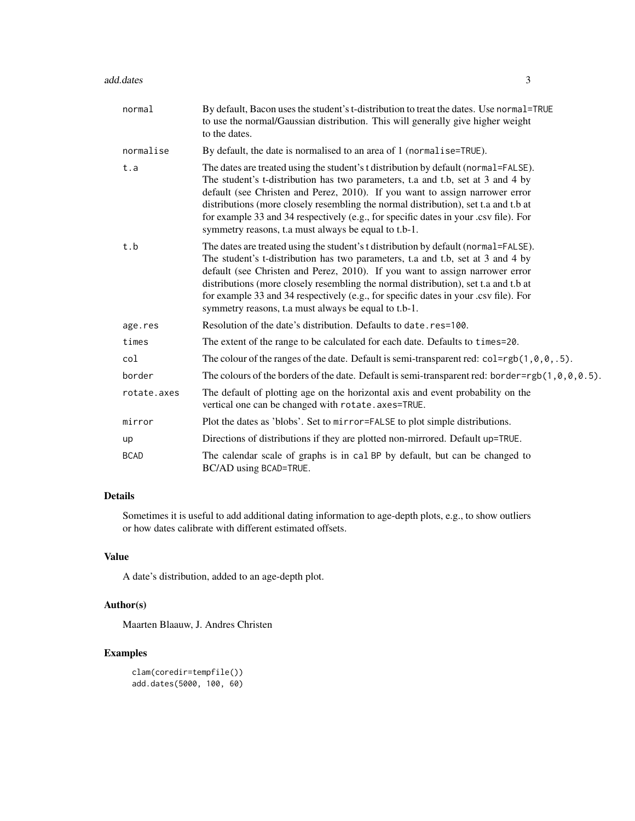| normal      | By default, Bacon uses the student's t-distribution to treat the dates. Use normal=TRUE<br>to use the normal/Gaussian distribution. This will generally give higher weight<br>to the dates.                                                                                                                                                                                                                                                                                                   |
|-------------|-----------------------------------------------------------------------------------------------------------------------------------------------------------------------------------------------------------------------------------------------------------------------------------------------------------------------------------------------------------------------------------------------------------------------------------------------------------------------------------------------|
| normalise   | By default, the date is normalised to an area of 1 (normalise=TRUE).                                                                                                                                                                                                                                                                                                                                                                                                                          |
| t.a         | The dates are treated using the student's t distribution by default (normal=FALSE).<br>The student's t-distribution has two parameters, t.a and t.b, set at 3 and 4 by<br>default (see Christen and Perez, 2010). If you want to assign narrower error<br>distributions (more closely resembling the normal distribution), set t.a and t.b at<br>for example 33 and 34 respectively (e.g., for specific dates in your .csv file). For<br>symmetry reasons, t.a must always be equal to t.b-1. |
| t.b         | The dates are treated using the student's t distribution by default (normal=FALSE).<br>The student's t-distribution has two parameters, t.a and t.b, set at 3 and 4 by<br>default (see Christen and Perez, 2010). If you want to assign narrower error<br>distributions (more closely resembling the normal distribution), set t.a and t.b at<br>for example 33 and 34 respectively (e.g., for specific dates in your .csv file). For<br>symmetry reasons, t.a must always be equal to t.b-1. |
| age.res     | Resolution of the date's distribution. Defaults to date.res=100.                                                                                                                                                                                                                                                                                                                                                                                                                              |
| times       | The extent of the range to be calculated for each date. Defaults to times=20.                                                                                                                                                                                                                                                                                                                                                                                                                 |
| col         | The colour of the ranges of the date. Default is semi-transparent red: $col=rgb(1, 0, 0, .5)$ .                                                                                                                                                                                                                                                                                                                                                                                               |
| border      | The colours of the borders of the date. Default is semi-transparent red: border=rgb(1,0,0,0.5).                                                                                                                                                                                                                                                                                                                                                                                               |
| rotate.axes | The default of plotting age on the horizontal axis and event probability on the<br>vertical one can be changed with rotate.axes=TRUE.                                                                                                                                                                                                                                                                                                                                                         |
| mirror      | Plot the dates as 'blobs'. Set to mirror=FALSE to plot simple distributions.                                                                                                                                                                                                                                                                                                                                                                                                                  |
| up          | Directions of distributions if they are plotted non-mirrored. Default up=TRUE.                                                                                                                                                                                                                                                                                                                                                                                                                |
| <b>BCAD</b> | The calendar scale of graphs is in cal BP by default, but can be changed to<br>BC/AD using BCAD=TRUE.                                                                                                                                                                                                                                                                                                                                                                                         |

#### Details

Sometimes it is useful to add additional dating information to age-depth plots, e.g., to show outliers or how dates calibrate with different estimated offsets.

#### Value

A date's distribution, added to an age-depth plot.

#### Author(s)

Maarten Blaauw, J. Andres Christen

```
clam(coredir=tempfile())
add.dates(5000, 100, 60)
```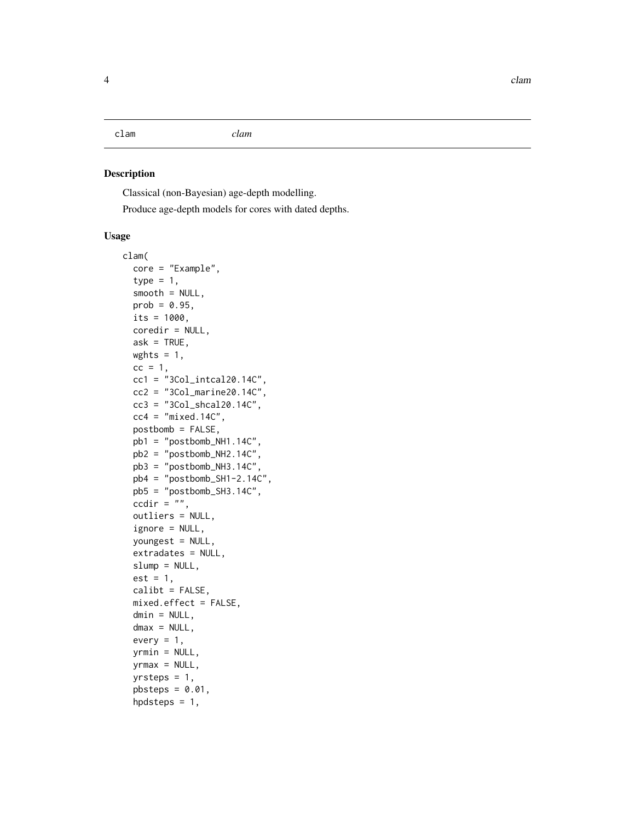<span id="page-3-0"></span>clam *clam*

#### Description

Classical (non-Bayesian) age-depth modelling.

Produce age-depth models for cores with dated depths.

#### Usage

```
clam(
  core = "Example",
  type = 1,
  smooth = NULL,prob = 0.95,
  its = 1000,coredir = NULL,
  ask = TRUE,wghts = 1,
  cc = 1,
  cc1 = "3Col_intcal20.14C",
  cc2 = "3Col_matrix = r14C",cc3 = "3Col_shcal20.14C",
  cc4 = "mixed.14C",postbomb = FALSE,
 pb1 = "postbomb_NH1.14C",
  pb2 = "postbomb_NH2.14C",
  pb3 = "postbomb_NH3.14C",
  pb4 = "post bomb_SH1-2.14C",pb5 = "postbomb_SH3.14C",
  ccdir = ",
  outliers = NULL,
  ignore = NULL,
  youngest = NULL,
  extradates = NULL,
  slump = NULL,est = 1,
  calibt = FALSE,
  mixed.effect = FALSE,
  dmin = NULL,dmax = NULL,every = 1,
  yrmin = NULL,
  yrmax = NULL,
  yrsteps = 1,
  pbsteps = 0.01,hpdsteps = 1,
```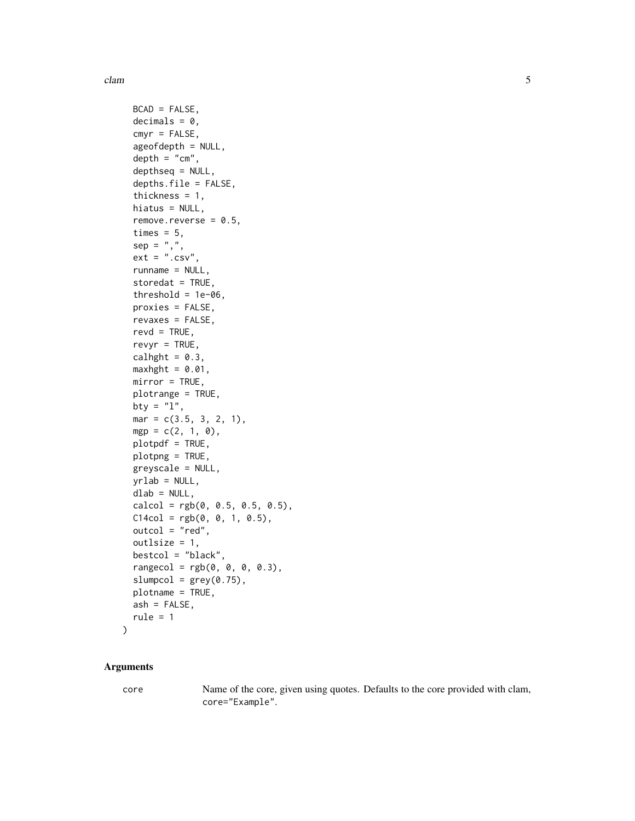```
BCAD = FALSE,
  decimals = 0,
  cmyr = FALSE,
  ageofdepth = NULL,
  depth = "cm",depthseq = NULL,
  depths.file = FALSE,
  thickness = 1,
  hiatus = NULL,
  remove.reverse = 0.5,
  times = 5,
  sep = ","ext = ".csv",runname = NULL,storedat = TRUE,threshold = 1e-06,
 proxies = FALSE,
  revaxes = FALSE,
  revd = TRUE,revvr = TRUE,
  calhght = 0.3,
 maxhght = 0.01,
 mirror = TRUE,
 plotrange = TRUE,
 bty = "1",mar = c(3.5, 3, 2, 1),mgp = c(2, 1, 0),
 plotpdf = TRUE,
 plotpng = TRUE,
 greyscale = NULL,
 yrlab = NULL,
 dlab = NULL,calcol = rgb(0, 0.5, 0.5, 0.5),
 C14col = rgb(0, 0, 1, 0.5),outcol = "red",outlsize = 1,
 bestcol = "black",
  rangecol = rgb(0, 0, 0, 0.3),
  slumpcol = grey(0.75),
 plotname = TRUE,
 ash = FALSE,rule = 1\mathcal{L}
```
#### Arguments

core Name of the core, given using quotes. Defaults to the core provided with clam, core="Example".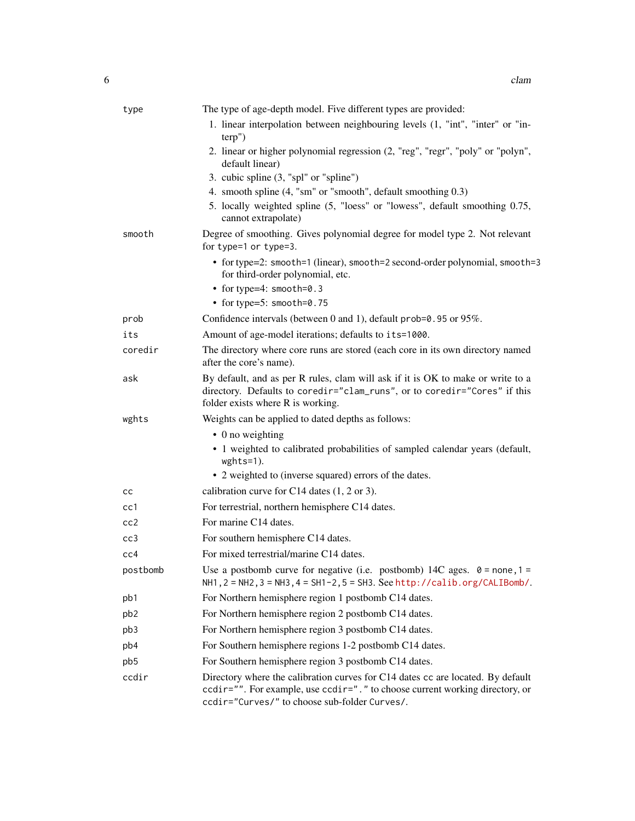| type            | The type of age-depth model. Five different types are provided:                                                                                                                                                   |
|-----------------|-------------------------------------------------------------------------------------------------------------------------------------------------------------------------------------------------------------------|
|                 | 1. linear interpolation between neighbouring levels (1, "int", "inter" or "in-<br>terp'                                                                                                                           |
|                 | 2. linear or higher polynomial regression (2, "reg", "regr", "poly" or "polyn",<br>default linear)                                                                                                                |
|                 | 3. cubic spline (3, "spl" or "spline")                                                                                                                                                                            |
|                 | 4. smooth spline (4, "sm" or "smooth", default smoothing 0.3)                                                                                                                                                     |
|                 | 5. locally weighted spline (5, "loess" or "lowess", default smoothing 0.75,<br>cannot extrapolate)                                                                                                                |
| smooth          | Degree of smoothing. Gives polynomial degree for model type 2. Not relevant<br>for type=1 or type=3.                                                                                                              |
|                 | • for type=2: smooth=1 (linear), smooth=2 second-order polynomial, smooth=3<br>for third-order polynomial, etc.                                                                                                   |
|                 | • for type=4: smooth=0.3                                                                                                                                                                                          |
|                 | • for type=5: smooth=0.75                                                                                                                                                                                         |
| prob            | Confidence intervals (between 0 and 1), default prob=0.95 or 95%.                                                                                                                                                 |
| its             | Amount of age-model iterations; defaults to its=1000.                                                                                                                                                             |
| coredir         | The directory where core runs are stored (each core in its own directory named<br>after the core's name).                                                                                                         |
| ask             | By default, and as per R rules, clam will ask if it is OK to make or write to a<br>directory. Defaults to coredir="clam_runs", or to coredir="Cores" if this<br>folder exists where R is working.                 |
| wghts           | Weights can be applied to dated depths as follows:                                                                                                                                                                |
|                 | $\bullet$ 0 no weighting                                                                                                                                                                                          |
|                 | • 1 weighted to calibrated probabilities of sampled calendar years (default,<br>wghts=1).                                                                                                                         |
|                 | • 2 weighted to (inverse squared) errors of the dates.                                                                                                                                                            |
| cc              | calibration curve for C14 dates $(1, 2 \text{ or } 3)$ .                                                                                                                                                          |
| cc1             | For terrestrial, northern hemisphere C14 dates.                                                                                                                                                                   |
| cc2             | For marine C14 dates.                                                                                                                                                                                             |
| cc3             | For southern hemisphere C14 dates.                                                                                                                                                                                |
| cc4             | For mixed terrestrial/marine C14 dates.                                                                                                                                                                           |
| postbomb        | Use a postbomb curve for negative (i.e. postbomb) 14C ages. $0 = none, 1 =$<br>NH1, 2 = NH2, 3 = NH3, 4 = SH1-2, 5 = SH3. See http://calib.org/CALIBomb/.                                                         |
| pb1             | For Northern hemisphere region 1 postbomb C14 dates.                                                                                                                                                              |
| pb <sub>2</sub> | For Northern hemisphere region 2 postbomb C14 dates.                                                                                                                                                              |
| pb3             | For Northern hemisphere region 3 postbomb C14 dates.                                                                                                                                                              |
| pb4             | For Southern hemisphere regions 1-2 postbomb C14 dates.                                                                                                                                                           |
| pb5             | For Southern hemisphere region 3 postbomb C14 dates.                                                                                                                                                              |
| ccdir           | Directory where the calibration curves for C14 dates cc are located. By default<br>ccdir="". For example, use ccdir=". " to choose current working directory, or<br>ccdir="Curves/" to choose sub-folder Curves/. |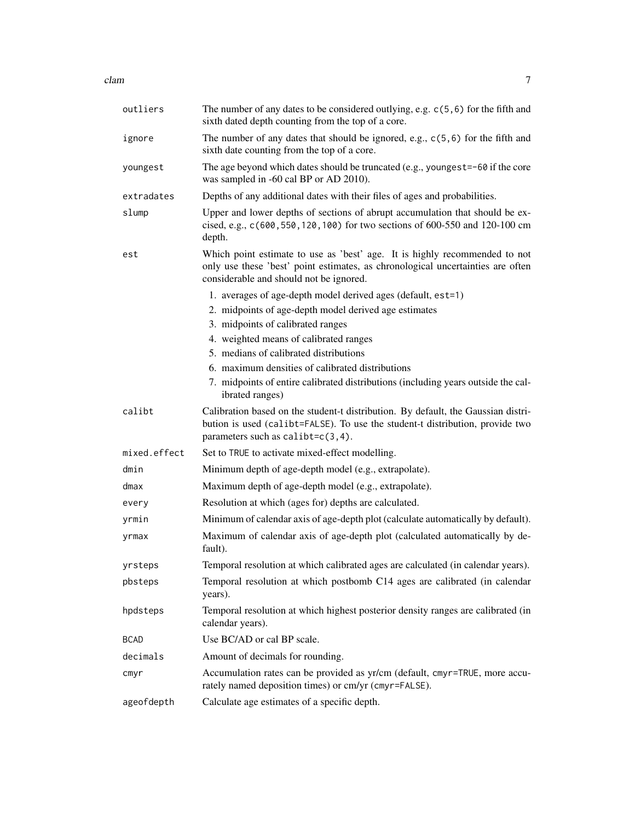| outliers     | The number of any dates to be considered outlying, e.g. $c(5, 6)$ for the fifth and<br>sixth dated depth counting from the top of a core.                                                                  |
|--------------|------------------------------------------------------------------------------------------------------------------------------------------------------------------------------------------------------------|
| ignore       | The number of any dates that should be ignored, e.g., $c(5, 6)$ for the fifth and<br>sixth date counting from the top of a core.                                                                           |
| youngest     | The age beyond which dates should be truncated (e.g., youngest=-60 if the core<br>was sampled in -60 cal BP or AD 2010).                                                                                   |
| extradates   | Depths of any additional dates with their files of ages and probabilities.                                                                                                                                 |
| slump        | Upper and lower depths of sections of abrupt accumulation that should be ex-<br>cised, e.g., c (600, 550, 120, 100) for two sections of 600-550 and 120-100 cm<br>depth.                                   |
| est          | Which point estimate to use as 'best' age. It is highly recommended to not<br>only use these 'best' point estimates, as chronological uncertainties are often<br>considerable and should not be ignored.   |
|              | 1. averages of age-depth model derived ages (default, est=1)                                                                                                                                               |
|              | 2. midpoints of age-depth model derived age estimates                                                                                                                                                      |
|              | 3. midpoints of calibrated ranges                                                                                                                                                                          |
|              | 4. weighted means of calibrated ranges                                                                                                                                                                     |
|              | 5. medians of calibrated distributions                                                                                                                                                                     |
|              | 6. maximum densities of calibrated distributions                                                                                                                                                           |
|              | 7. midpoints of entire calibrated distributions (including years outside the cal-<br>ibrated ranges)                                                                                                       |
|              |                                                                                                                                                                                                            |
| calibt       | Calibration based on the student-t distribution. By default, the Gaussian distri-<br>bution is used (calibt=FALSE). To use the student-t distribution, provide two<br>parameters such as $calipt=c(3,4)$ . |
| mixed.effect | Set to TRUE to activate mixed-effect modelling.                                                                                                                                                            |
| dmin         | Minimum depth of age-depth model (e.g., extrapolate).                                                                                                                                                      |
| dmax         | Maximum depth of age-depth model (e.g., extrapolate).                                                                                                                                                      |
| every        | Resolution at which (ages for) depths are calculated.                                                                                                                                                      |
| yrmin        | Minimum of calendar axis of age-depth plot (calculate automatically by default).                                                                                                                           |
| yrmax        | Maximum of calendar axis of age-depth plot (calculated automatically by de-<br>fault).                                                                                                                     |
| yrsteps      | Temporal resolution at which calibrated ages are calculated (in calendar years).                                                                                                                           |
| pbsteps      | Temporal resolution at which postbomb C14 ages are calibrated (in calendar<br>years).                                                                                                                      |
| hpdsteps     | Temporal resolution at which highest posterior density ranges are calibrated (in<br>calendar years).                                                                                                       |
| <b>BCAD</b>  | Use BC/AD or cal BP scale.                                                                                                                                                                                 |
| decimals     | Amount of decimals for rounding.                                                                                                                                                                           |
| cmyr         | Accumulation rates can be provided as yr/cm (default, cmyr=TRUE, more accu-<br>rately named deposition times) or cm/yr (cmyr=FALSE).                                                                       |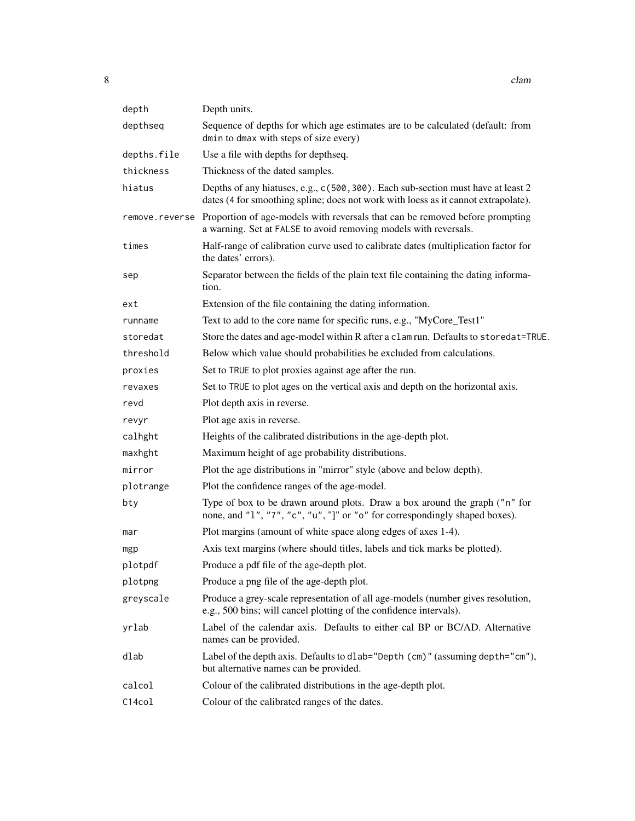| depth       | Depth units.                                                                                                                                                           |
|-------------|------------------------------------------------------------------------------------------------------------------------------------------------------------------------|
| depthseq    | Sequence of depths for which age estimates are to be calculated (default: from<br>dmin to dmax with steps of size every)                                               |
| depths.file | Use a file with depths for depthseq.                                                                                                                                   |
| thickness   | Thickness of the dated samples.                                                                                                                                        |
| hiatus      | Depths of any hiatuses, e.g., c(500, 300). Each sub-section must have at least 2<br>dates (4 for smoothing spline; does not work with loess as it cannot extrapolate). |
|             | remove. reverse Proportion of age-models with reversals that can be removed before prompting<br>a warning. Set at FALSE to avoid removing models with reversals.       |
| times       | Half-range of calibration curve used to calibrate dates (multiplication factor for<br>the dates' errors).                                                              |
| sep         | Separator between the fields of the plain text file containing the dating informa-<br>tion.                                                                            |
| ext         | Extension of the file containing the dating information.                                                                                                               |
| runname     | Text to add to the core name for specific runs, e.g., "MyCore_Test1"                                                                                                   |
| storedat    | Store the dates and age-model within R after a clam run. Defaults to storedat=TRUE.                                                                                    |
| threshold   | Below which value should probabilities be excluded from calculations.                                                                                                  |
| proxies     | Set to TRUE to plot proxies against age after the run.                                                                                                                 |
| revaxes     | Set to TRUE to plot ages on the vertical axis and depth on the horizontal axis.                                                                                        |
| revd        | Plot depth axis in reverse.                                                                                                                                            |
| revyr       | Plot age axis in reverse.                                                                                                                                              |
| calhght     | Heights of the calibrated distributions in the age-depth plot.                                                                                                         |
| maxhght     | Maximum height of age probability distributions.                                                                                                                       |
| mirror      | Plot the age distributions in "mirror" style (above and below depth).                                                                                                  |
| plotrange   | Plot the confidence ranges of the age-model.                                                                                                                           |
| bty         | Type of box to be drawn around plots. Draw a box around the graph ("n" for<br>none, and "1", "7", "c", "u", "]" or "o" for correspondingly shaped boxes).              |
| mar         | Plot margins (amount of white space along edges of axes 1-4).                                                                                                          |
| mgp         | Axis text margins (where should titles, labels and tick marks be plotted).                                                                                             |
| plotpdf     | Produce a pdf file of the age-depth plot.                                                                                                                              |
| plotpng     | Produce a png file of the age-depth plot.                                                                                                                              |
| greyscale   | Produce a grey-scale representation of all age-models (number gives resolution,<br>e.g., 500 bins; will cancel plotting of the confidence intervals).                  |
| yrlab       | Label of the calendar axis. Defaults to either cal BP or BC/AD. Alternative<br>names can be provided.                                                                  |
| dlab        | Label of the depth axis. Defaults to dlab="Depth (cm)" (assuming depth="cm"),<br>but alternative names can be provided.                                                |
| calcol      | Colour of the calibrated distributions in the age-depth plot.                                                                                                          |
| C14col      | Colour of the calibrated ranges of the dates.                                                                                                                          |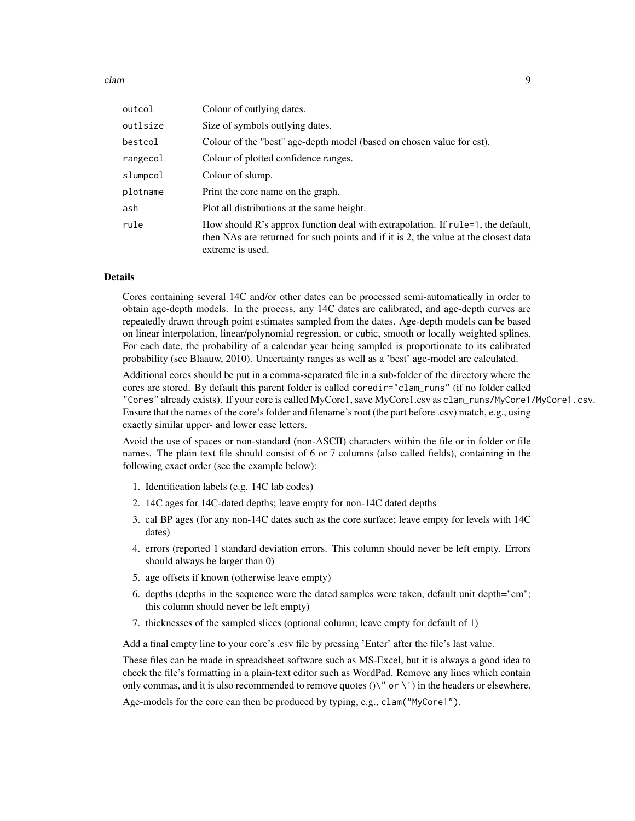clam **9** 

| outcol   | Colour of outlying dates.                                                                                                                                                                  |
|----------|--------------------------------------------------------------------------------------------------------------------------------------------------------------------------------------------|
| outlsize | Size of symbols outlying dates.                                                                                                                                                            |
| bestcol  | Colour of the "best" age-depth model (based on chosen value for est).                                                                                                                      |
| rangecol | Colour of plotted confidence ranges.                                                                                                                                                       |
| slumpcol | Colour of slump.                                                                                                                                                                           |
| plotname | Print the core name on the graph.                                                                                                                                                          |
| ash      | Plot all distributions at the same height.                                                                                                                                                 |
| rule     | How should R's approx function deal with extrapolation. If rule=1, the default,<br>then NAs are returned for such points and if it is 2, the value at the closest data<br>extreme is used. |

#### Details

Cores containing several 14C and/or other dates can be processed semi-automatically in order to obtain age-depth models. In the process, any 14C dates are calibrated, and age-depth curves are repeatedly drawn through point estimates sampled from the dates. Age-depth models can be based on linear interpolation, linear/polynomial regression, or cubic, smooth or locally weighted splines. For each date, the probability of a calendar year being sampled is proportionate to its calibrated probability (see Blaauw, 2010). Uncertainty ranges as well as a 'best' age-model are calculated.

Additional cores should be put in a comma-separated file in a sub-folder of the directory where the cores are stored. By default this parent folder is called coredir="clam\_runs" (if no folder called "Cores" already exists). If your core is called MyCore1, save MyCore1.csv as clam\_runs/MyCore1/MyCore1.csv. Ensure that the names of the core's folder and filename's root (the part before .csv) match, e.g., using exactly similar upper- and lower case letters.

Avoid the use of spaces or non-standard (non-ASCII) characters within the file or in folder or file names. The plain text file should consist of 6 or 7 columns (also called fields), containing in the following exact order (see the example below):

- 1. Identification labels (e.g. 14C lab codes)
- 2. 14C ages for 14C-dated depths; leave empty for non-14C dated depths
- 3. cal BP ages (for any non-14C dates such as the core surface; leave empty for levels with 14C dates)
- 4. errors (reported 1 standard deviation errors. This column should never be left empty. Errors should always be larger than 0)
- 5. age offsets if known (otherwise leave empty)
- 6. depths (depths in the sequence were the dated samples were taken, default unit depth="cm"; this column should never be left empty)
- 7. thicknesses of the sampled slices (optional column; leave empty for default of 1)

Add a final empty line to your core's .csv file by pressing 'Enter' after the file's last value.

These files can be made in spreadsheet software such as MS-Excel, but it is always a good idea to check the file's formatting in a plain-text editor such as WordPad. Remove any lines which contain only commas, and it is also recommended to remove quotes  $(\lambda^{\prime\prime}$  or  $\lambda^{\prime\prime}$  in the headers or elsewhere.

Age-models for the core can then be produced by typing, e.g., clam("MyCore1").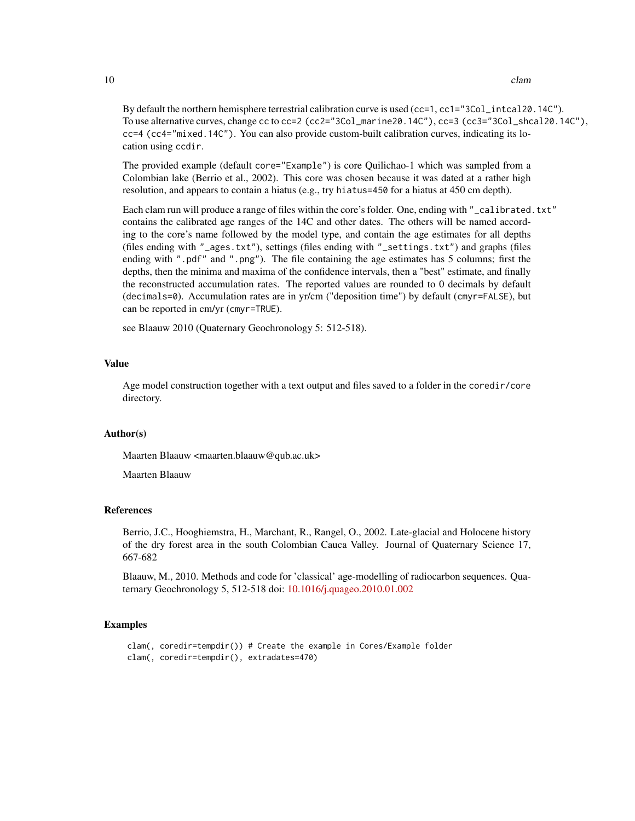10 clam

By default the northern hemisphere terrestrial calibration curve is used (cc=1, cc1="3Col\_intcal20.14C"). To use alternative curves, change cc to cc=2 (cc2="3Col\_marine20.14C"), cc=3 (cc3="3Col\_shcal20.14C"), cc=4 (cc4="mixed.14C"). You can also provide custom-built calibration curves, indicating its location using ccdir.

The provided example (default core="Example") is core Quilichao-1 which was sampled from a Colombian lake (Berrio et al., 2002). This core was chosen because it was dated at a rather high resolution, and appears to contain a hiatus (e.g., try hiatus=450 for a hiatus at 450 cm depth).

Each clam run will produce a range of files within the core's folder. One, ending with "\_calibrated.txt" contains the calibrated age ranges of the 14C and other dates. The others will be named according to the core's name followed by the model type, and contain the age estimates for all depths (files ending with "\_ages.txt"), settings (files ending with "\_settings.txt") and graphs (files ending with ".pdf" and ".png"). The file containing the age estimates has 5 columns; first the depths, then the minima and maxima of the confidence intervals, then a "best" estimate, and finally the reconstructed accumulation rates. The reported values are rounded to 0 decimals by default (decimals=0). Accumulation rates are in yr/cm ("deposition time") by default (cmyr=FALSE), but can be reported in cm/yr (cmyr=TRUE).

see Blaauw 2010 (Quaternary Geochronology 5: 512-518).

#### Value

Age model construction together with a text output and files saved to a folder in the coredir/core directory.

#### Author(s)

Maarten Blaauw <maarten.blaauw@qub.ac.uk>

Maarten Blaauw

#### References

Berrio, J.C., Hooghiemstra, H., Marchant, R., Rangel, O., 2002. Late-glacial and Holocene history of the dry forest area in the south Colombian Cauca Valley. Journal of Quaternary Science 17, 667-682

Blaauw, M., 2010. Methods and code for 'classical' age-modelling of radiocarbon sequences. Quaternary Geochronology 5, 512-518 doi: [10.1016/j.quageo.2010.01.002](https://doi.org/10.1016/j.quageo.2010.01.002)

```
clam(, coredir=tempdir()) # Create the example in Cores/Example folder
clam(, coredir=tempdir(), extradates=470)
```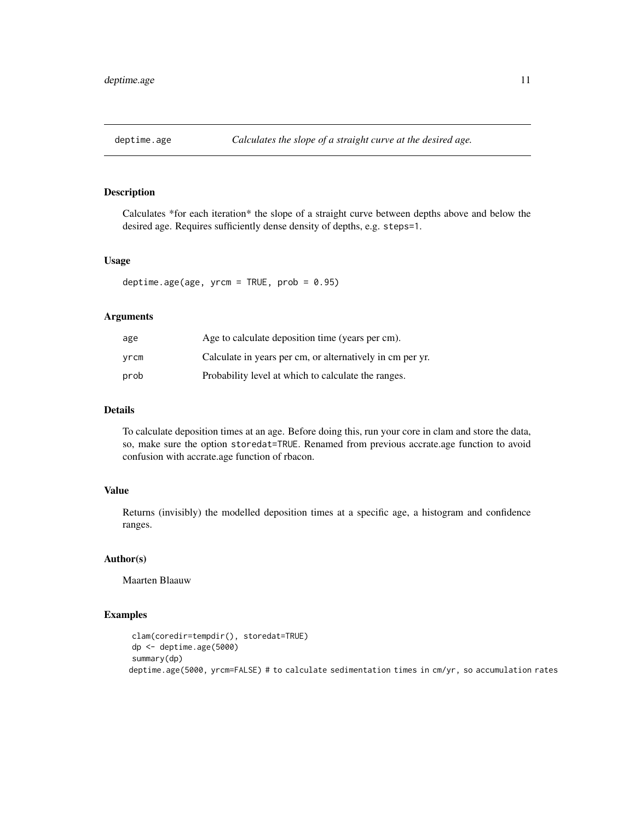<span id="page-10-0"></span>

#### Description

Calculates \*for each iteration\* the slope of a straight curve between depths above and below the desired age. Requires sufficiently dense density of depths, e.g. steps=1.

#### Usage

deptime.age(age,  $yrcm = TRUE$ ,  $prob = 0.95$ )

#### Arguments

| age  | Age to calculate deposition time (years per cm).          |
|------|-----------------------------------------------------------|
| vrcm | Calculate in years per cm, or alternatively in cm per yr. |
| prob | Probability level at which to calculate the ranges.       |

#### Details

To calculate deposition times at an age. Before doing this, run your core in clam and store the data, so, make sure the option storedat=TRUE. Renamed from previous accrate.age function to avoid confusion with accrate.age function of rbacon.

#### Value

Returns (invisibly) the modelled deposition times at a specific age, a histogram and confidence ranges.

#### Author(s)

Maarten Blaauw

```
clam(coredir=tempdir(), storedat=TRUE)
dp <- deptime.age(5000)
summary(dp)
deptime.age(5000, yrcm=FALSE) # to calculate sedimentation times in cm/yr, so accumulation rates
```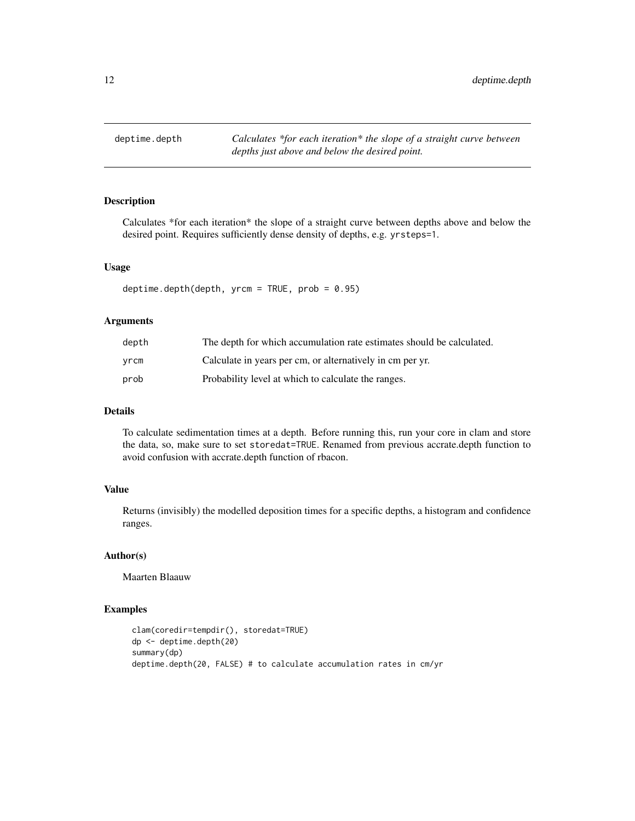<span id="page-11-0"></span>deptime.depth *Calculates \*for each iteration\* the slope of a straight curve between depths just above and below the desired point.*

#### Description

Calculates \*for each iteration\* the slope of a straight curve between depths above and below the desired point. Requires sufficiently dense density of depths, e.g. yrsteps=1.

#### Usage

deptime.depth(depth,  $y$ rcm = TRUE,  $prob = 0.95$ )

#### Arguments

| depth | The depth for which accumulation rate estimates should be calculated. |
|-------|-----------------------------------------------------------------------|
| vrcm  | Calculate in years per cm, or alternatively in cm per yr.             |
| prob  | Probability level at which to calculate the ranges.                   |

#### Details

To calculate sedimentation times at a depth. Before running this, run your core in clam and store the data, so, make sure to set storedat=TRUE. Renamed from previous accrate.depth function to avoid confusion with accrate.depth function of rbacon.

#### Value

Returns (invisibly) the modelled deposition times for a specific depths, a histogram and confidence ranges.

#### Author(s)

Maarten Blaauw

```
clam(coredir=tempdir(), storedat=TRUE)
dp <- deptime.depth(20)
summary(dp)
deptime.depth(20, FALSE) # to calculate accumulation rates in cm/yr
```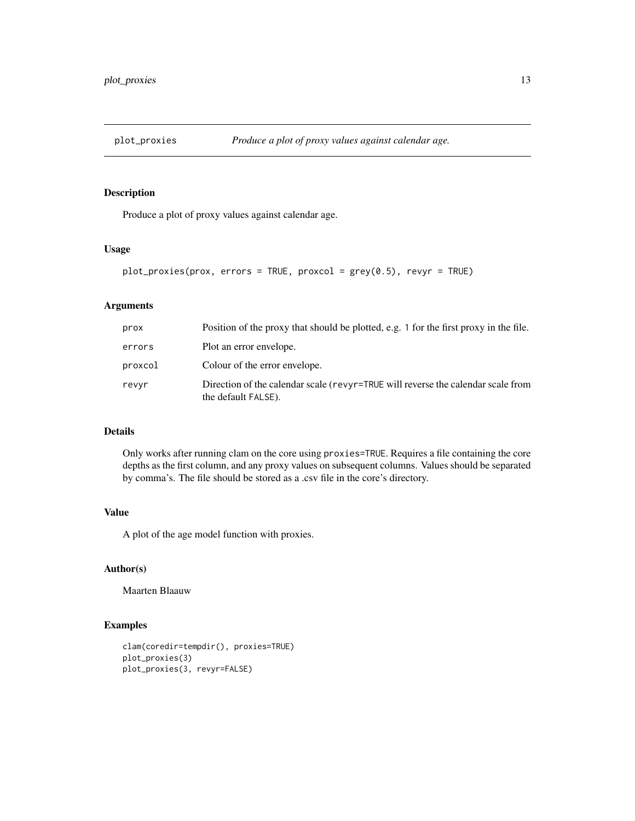<span id="page-12-0"></span>

#### Description

Produce a plot of proxy values against calendar age.

#### Usage

```
plot_proxies(prox, errors = TRUE, proxcol = grey(0.5), revyr = TRUE)
```
#### Arguments

| prox    | Position of the proxy that should be plotted, e.g. 1 for the first proxy in the file.                   |
|---------|---------------------------------------------------------------------------------------------------------|
| errors  | Plot an error envelope.                                                                                 |
| proxcol | Colour of the error envelope.                                                                           |
| revyr   | Direction of the calendar scale (revyr=TRUE will reverse the calendar scale from<br>the default FALSE). |

#### Details

Only works after running clam on the core using proxies=TRUE. Requires a file containing the core depths as the first column, and any proxy values on subsequent columns. Values should be separated by comma's. The file should be stored as a .csv file in the core's directory.

#### Value

A plot of the age model function with proxies.

#### Author(s)

Maarten Blaauw

```
clam(coredir=tempdir(), proxies=TRUE)
plot_proxies(3)
plot_proxies(3, revyr=FALSE)
```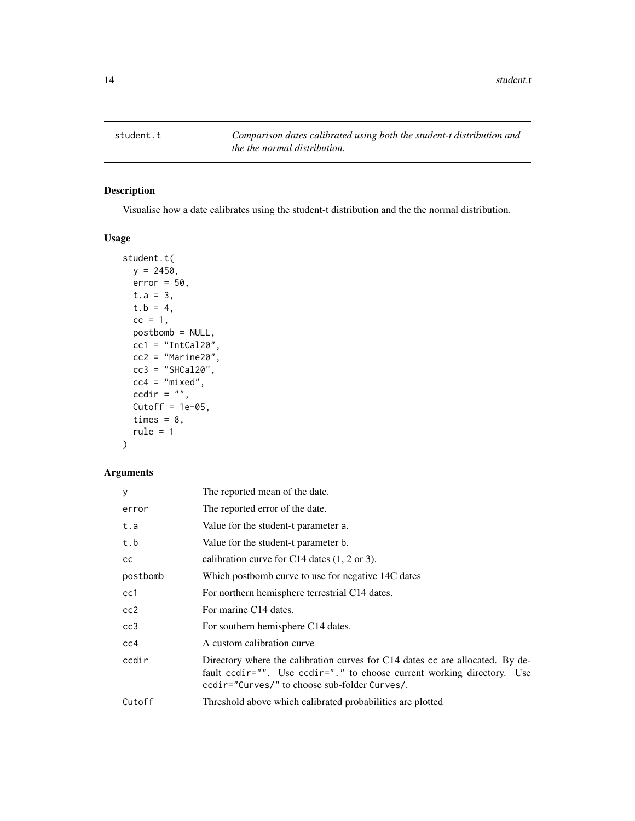<span id="page-13-0"></span>student.t *Comparison dates calibrated using both the student-t distribution and the the normal distribution.*

#### Description

Visualise how a date calibrates using the student-t distribution and the the normal distribution.

#### Usage

```
student.t(
 y = 2450,
 error = 50,t.a = 3,t.b = 4,cc = 1,
 postbomb = NULL,
 cc1 = "IntCal20",cc2 = "Marine20",cc3 = "SHCal20",cc4 = "mixed",ccdir = ",
 Cutoff = 1e-05,
 times = 8,
  rule = 1)
```
#### Arguments

| У        | The reported mean of the date.                                                                                                                                                                                 |
|----------|----------------------------------------------------------------------------------------------------------------------------------------------------------------------------------------------------------------|
| error    | The reported error of the date.                                                                                                                                                                                |
| t.a      | Value for the student-t parameter a.                                                                                                                                                                           |
| t.b      | Value for the student-t parameter b.                                                                                                                                                                           |
| cc       | calibration curve for C14 dates $(1, 2 \text{ or } 3)$ .                                                                                                                                                       |
| postbomb | Which postbomb curve to use for negative 14C dates                                                                                                                                                             |
| cc1      | For northern hemisphere terrestrial C14 dates.                                                                                                                                                                 |
| cc2      | For marine C14 dates.                                                                                                                                                                                          |
| cc3      | For southern hemisphere C14 dates.                                                                                                                                                                             |
| cc4      | A custom calibration curve                                                                                                                                                                                     |
| ccdir    | Directory where the calibration curves for C14 dates cc are allocated. By de-<br>fault codinter "". Use codinter". " to choose current working directory. Use<br>ccdir="Curves/" to choose sub-folder Curves/. |
| Cutoff   | Threshold above which calibrated probabilities are plotted                                                                                                                                                     |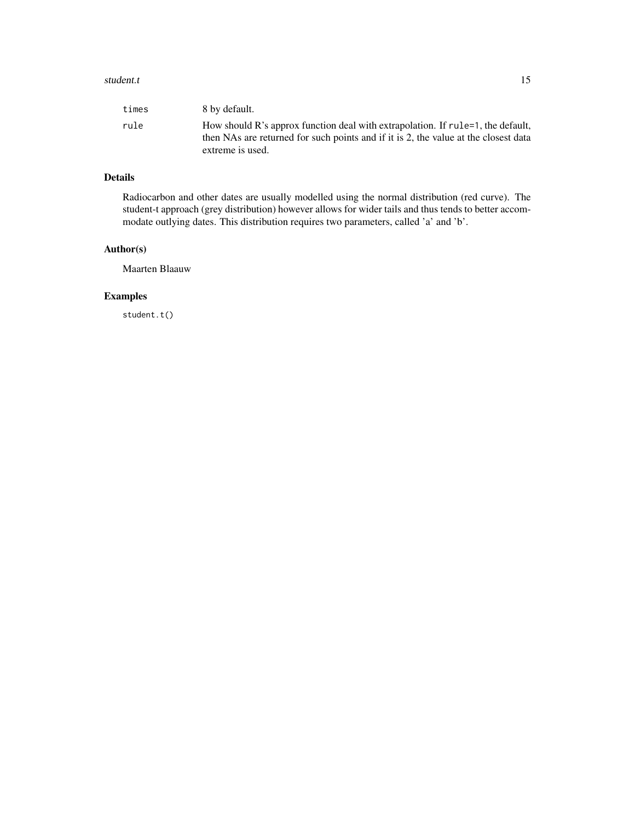#### student.t 15

| times | 8 by default.                                                                                                                                                                              |
|-------|--------------------------------------------------------------------------------------------------------------------------------------------------------------------------------------------|
| rule  | How should R's approx function deal with extrapolation. If rule=1, the default,<br>then NAs are returned for such points and if it is 2, the value at the closest data<br>extreme is used. |

#### Details

Radiocarbon and other dates are usually modelled using the normal distribution (red curve). The student-t approach (grey distribution) however allows for wider tails and thus tends to better accommodate outlying dates. This distribution requires two parameters, called 'a' and 'b'.

#### Author(s)

Maarten Blaauw

#### Examples

student.t()